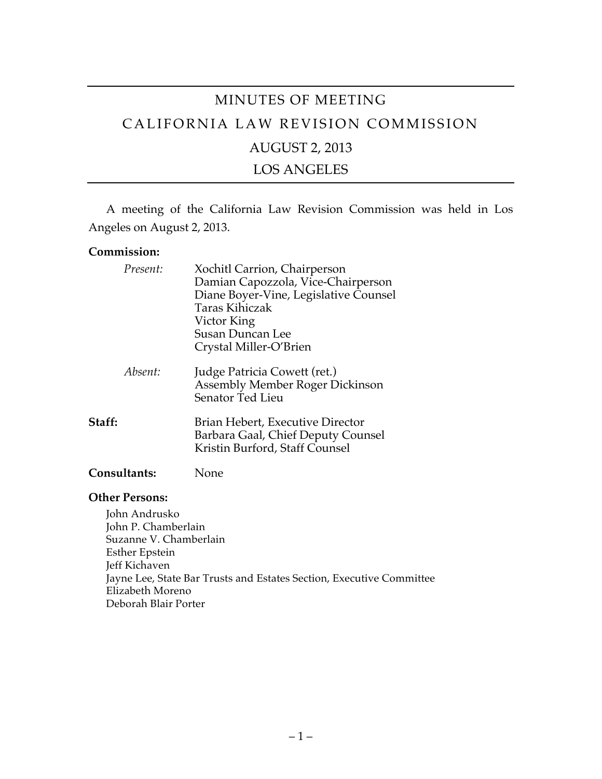# MINUTES OF MEETING CALIFORNIA LAW REVISION COMMISSION AUGUST 2, 2013 LOS ANGELES

A meeting of the California Law Revision Commission was held in Los Angeles on August 2, 2013.

#### **Commission:**

| Present:     | Xochitl Carrion, Chairperson<br>Damian Capozzola, Vice-Chairperson<br>Diane Boyer-Vine, Legislative Counsel<br>Taras Kihiczak<br>Victor King<br><b>Susan Duncan Lee</b><br>Crystal Miller-O'Brien |
|--------------|---------------------------------------------------------------------------------------------------------------------------------------------------------------------------------------------------|
| Absent:      | Judge Patricia Cowett (ret.)<br>Assembly Member Roger Dickinson<br>Senator Ted Lieu                                                                                                               |
| Staff:       | Brian Hebert, Executive Director<br>Barbara Gaal, Chief Deputy Counsel<br>Kristin Burford, Staff Counsel                                                                                          |
| Consultants: | None                                                                                                                                                                                              |

#### **Other Persons:**

John Andrusko John P. Chamberlain Suzanne V. Chamberlain Esther Epstein Jeff Kichaven Jayne Lee, State Bar Trusts and Estates Section, Executive Committee Elizabeth Moreno Deborah Blair Porter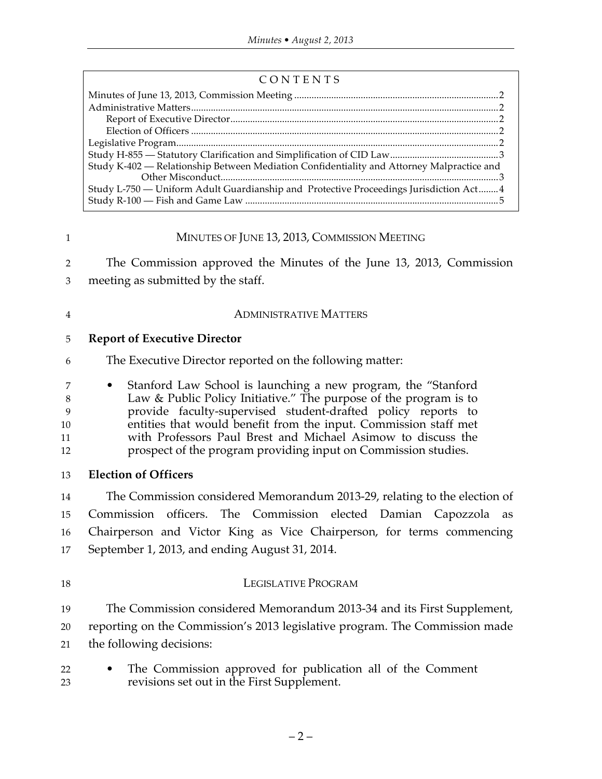| Study K-402 — Relationship Between Mediation Confidentiality and Attorney Malpractice and |  |
|-------------------------------------------------------------------------------------------|--|
|                                                                                           |  |
| Study L-750 — Uniform Adult Guardianship and Protective Proceedings Jurisdiction Act4     |  |
|                                                                                           |  |
|                                                                                           |  |

### 1 MINUTES OF JUNE 13, 2013, COMMISSION MEETING

2 The Commission approved the Minutes of the June 13, 2013, Commission 3 meeting as submitted by the staff.

#### 4 ADMINISTRATIVE MATTERS

### 5 **Report of Executive Director**

6 The Executive Director reported on the following matter:

 • Stanford Law School is launching a new program, the "Stanford Law & Public Policy Initiative." The purpose of the program is to provide faculty-supervised student-drafted policy reports to entities that would benefit from the input. Commission staff met with Professors Paul Brest and Michael Asimow to discuss the prospect of the program providing input on Commission studies.

13 **Election of Officers**

 The Commission considered Memorandum 2013-29, relating to the election of Commission officers. The Commission elected Damian Capozzola as Chairperson and Victor King as Vice Chairperson, for terms commencing September 1, 2013, and ending August 31, 2014.

- 18 LEGISLATIVE PROGRAM 19 The Commission considered Memorandum 2013-34 and its First Supplement, 20 reporting on the Commission's 2013 legislative program. The Commission made
- 21 the following decisions:
- 22 The Commission approved for publication all of the Comment 23 revisions set out in the First Supplement.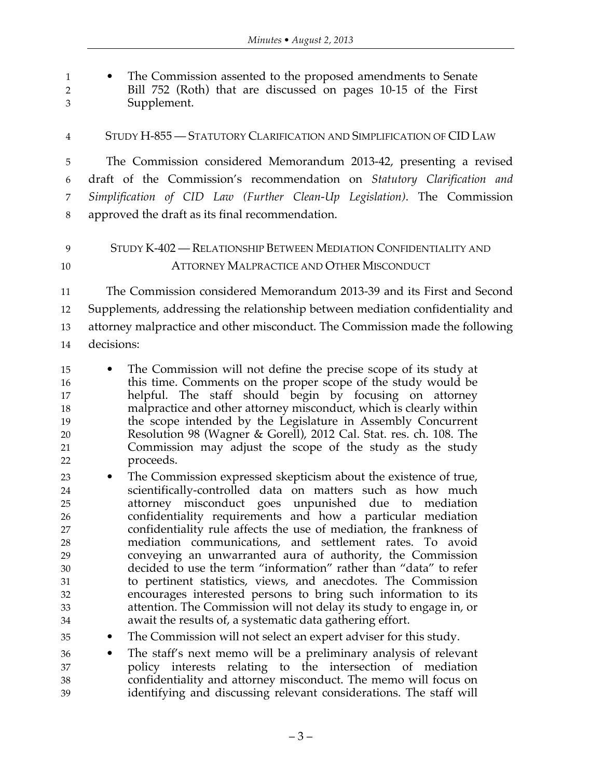• The Commission assented to the proposed amendments to Senate Bill 752 (Roth) that are discussed on pages 10-15 of the First Supplement.

STUDY H-855 — STATUTORY CLARIFICATION AND SIMPLIFICATION OF CID LAW

 The Commission considered Memorandum 2013-42, presenting a revised draft of the Commission's recommendation on *Statutory Clarification and Simplification of CID Law (Further Clean-Up Legislation)*. The Commission approved the draft as its final recommendation.

## STUDY K-402 — RELATIONSHIP BETWEEN MEDIATION CONFIDENTIALITY AND ATTORNEY MALPRACTICE AND OTHER MISCONDUCT

 The Commission considered Memorandum 2013-39 and its First and Second Supplements, addressing the relationship between mediation confidentiality and attorney malpractice and other misconduct. The Commission made the following decisions:

- The Commission will not define the precise scope of its study at this time. Comments on the proper scope of the study would be helpful. The staff should begin by focusing on attorney malpractice and other attorney misconduct, which is clearly within the scope intended by the Legislature in Assembly Concurrent Resolution 98 (Wagner & Gorell), 2012 Cal. Stat. res. ch. 108. The Commission may adjust the scope of the study as the study proceeds.
- The Commission expressed skepticism about the existence of true, scientifically-controlled data on matters such as how much attorney misconduct goes unpunished due to mediation confidentiality requirements and how a particular mediation confidentiality rule affects the use of mediation, the frankness of mediation communications, and settlement rates. To avoid conveying an unwarranted aura of authority, the Commission decided to use the term "information" rather than "data" to refer to pertinent statistics, views, and anecdotes. The Commission encourages interested persons to bring such information to its attention. The Commission will not delay its study to engage in, or await the results of, a systematic data gathering effort.
- The Commission will not select an expert adviser for this study.
- The staff's next memo will be a preliminary analysis of relevant policy interests relating to the intersection of mediation confidentiality and attorney misconduct. The memo will focus on identifying and discussing relevant considerations. The staff will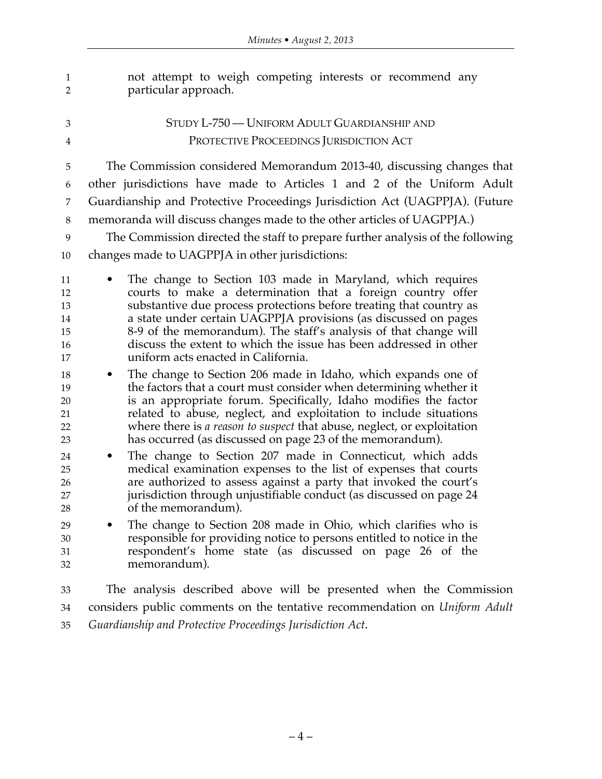| 1<br>$\overline{2}$                                                        | not attempt to weigh competing interests or recommend any<br>particular approach.                                                                                                                                                                                                                                                                                                                                                                                                                                                                                                                                                                                                                                                                                                                                                                                                               |
|----------------------------------------------------------------------------|-------------------------------------------------------------------------------------------------------------------------------------------------------------------------------------------------------------------------------------------------------------------------------------------------------------------------------------------------------------------------------------------------------------------------------------------------------------------------------------------------------------------------------------------------------------------------------------------------------------------------------------------------------------------------------------------------------------------------------------------------------------------------------------------------------------------------------------------------------------------------------------------------|
| 3                                                                          | STUDY L-750 — UNIFORM ADULT GUARDIANSHIP AND                                                                                                                                                                                                                                                                                                                                                                                                                                                                                                                                                                                                                                                                                                                                                                                                                                                    |
| 4                                                                          | PROTECTIVE PROCEEDINGS JURISDICTION ACT                                                                                                                                                                                                                                                                                                                                                                                                                                                                                                                                                                                                                                                                                                                                                                                                                                                         |
| 5                                                                          | The Commission considered Memorandum 2013-40, discussing changes that                                                                                                                                                                                                                                                                                                                                                                                                                                                                                                                                                                                                                                                                                                                                                                                                                           |
| 6                                                                          | other jurisdictions have made to Articles 1 and 2 of the Uniform Adult                                                                                                                                                                                                                                                                                                                                                                                                                                                                                                                                                                                                                                                                                                                                                                                                                          |
| 7                                                                          | Guardianship and Protective Proceedings Jurisdiction Act (UAGPPJA). (Future                                                                                                                                                                                                                                                                                                                                                                                                                                                                                                                                                                                                                                                                                                                                                                                                                     |
| 8                                                                          | memoranda will discuss changes made to the other articles of UAGPPJA.)                                                                                                                                                                                                                                                                                                                                                                                                                                                                                                                                                                                                                                                                                                                                                                                                                          |
| 9                                                                          | The Commission directed the staff to prepare further analysis of the following                                                                                                                                                                                                                                                                                                                                                                                                                                                                                                                                                                                                                                                                                                                                                                                                                  |
| 10                                                                         | changes made to UAGPPJA in other jurisdictions:                                                                                                                                                                                                                                                                                                                                                                                                                                                                                                                                                                                                                                                                                                                                                                                                                                                 |
| 11<br>12<br>13<br>14<br>15<br>16<br>17<br>18<br>19<br>20<br>21<br>22<br>23 | The change to Section 103 made in Maryland, which requires<br>courts to make a determination that a foreign country offer<br>substantive due process protections before treating that country as<br>a state under certain UAGPPJA provisions (as discussed on pages<br>8-9 of the memorandum). The staff's analysis of that change will<br>discuss the extent to which the issue has been addressed in other<br>uniform acts enacted in California.<br>The change to Section 206 made in Idaho, which expands one of<br>$\bullet$<br>the factors that a court must consider when determining whether it<br>is an appropriate forum. Specifically, Idaho modifies the factor<br>related to abuse, neglect, and exploitation to include situations<br>where there is <i>a reason to suspect</i> that abuse, neglect, or exploitation<br>has occurred (as discussed on page 23 of the memorandum). |
| 24<br>25<br>26<br>27<br>28                                                 | The change to Section 207 made in Connecticut, which adds<br>$\bullet$<br>medical examination expenses to the list of expenses that courts<br>are authorized to assess against a party that invoked the court's<br>jurisdiction through unjustifiable conduct (as discussed on page 24<br>of the memorandum).                                                                                                                                                                                                                                                                                                                                                                                                                                                                                                                                                                                   |
| 29<br>30<br>31<br>32                                                       | The change to Section 208 made in Ohio, which clarifies who is<br>responsible for providing notice to persons entitled to notice in the<br>respondent's home state (as discussed on page 26 of the<br>memorandum).                                                                                                                                                                                                                                                                                                                                                                                                                                                                                                                                                                                                                                                                              |
| 33                                                                         | The analysis described above will be presented when the Commission                                                                                                                                                                                                                                                                                                                                                                                                                                                                                                                                                                                                                                                                                                                                                                                                                              |
| 34                                                                         | considers public comments on the tentative recommendation on <i>Uniform Adult</i>                                                                                                                                                                                                                                                                                                                                                                                                                                                                                                                                                                                                                                                                                                                                                                                                               |

*Guardianship and Protective Proceedings Jurisdiction Act*.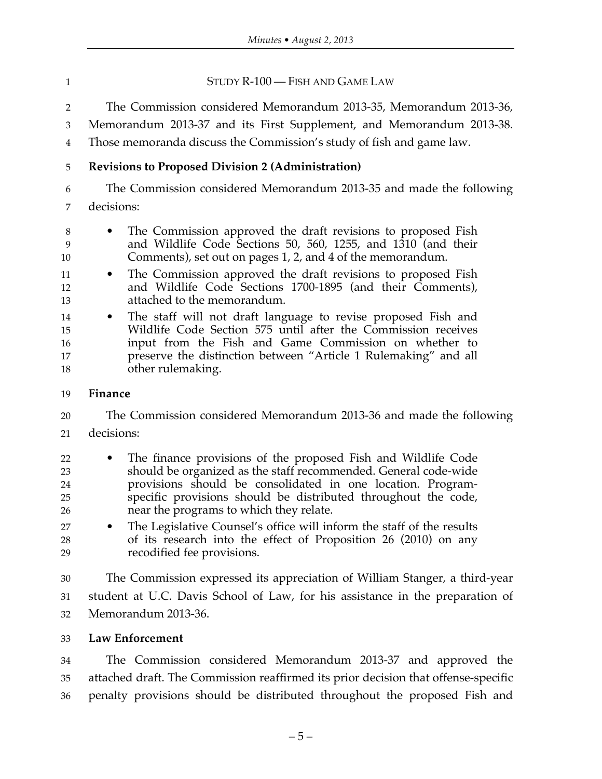**STUDY R-100** — FISH AND GAME LAW

The Commission considered Memorandum 2013-35, Memorandum 2013-36,

Memorandum 2013-37 and its First Supplement, and Memorandum 2013-38.

Those memoranda discuss the Commission's study of fish and game law.

## **Revisions to Proposed Division 2 (Administration)**

 The Commission considered Memorandum 2013-35 and made the following decisions:

- The Commission approved the draft revisions to proposed Fish and Wildlife Code Sections 50, 560, 1255, and 1310 (and their Comments), set out on pages 1, 2, and 4 of the memorandum.
- The Commission approved the draft revisions to proposed Fish and Wildlife Code Sections 1700-1895 (and their Comments), attached to the memorandum.
- The staff will not draft language to revise proposed Fish and Wildlife Code Section 575 until after the Commission receives input from the Fish and Game Commission on whether to preserve the distinction between "Article 1 Rulemaking" and all other rulemaking.

### **Finance**

 The Commission considered Memorandum 2013-36 and made the following decisions:

- The finance provisions of the proposed Fish and Wildlife Code should be organized as the staff recommended. General code-wide provisions should be consolidated in one location. Program- specific provisions should be distributed throughout the code, near the programs to which they relate.
- The Legislative Counsel's office will inform the staff of the results of its research into the effect of Proposition 26 (2010) on any recodified fee provisions.

 The Commission expressed its appreciation of William Stanger, a third-year student at U.C. Davis School of Law, for his assistance in the preparation of Memorandum 2013-36.

### **Law Enforcement**

 The Commission considered Memorandum 2013-37 and approved the attached draft. The Commission reaffirmed its prior decision that offense-specific penalty provisions should be distributed throughout the proposed Fish and